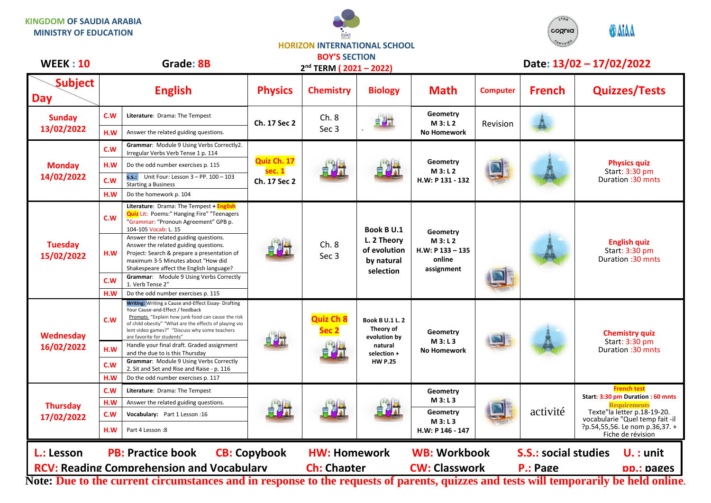## **KINGDOM OF SAUDIA ARABIA MINISTRY OF EDUCATION**



## **HORIZON INTERNATIONAL SCHOOL**

| <b>WEEK: 10</b>                                                                                                          | Grade: 8B                                                                                                                                   |                                                                                                                                                                                                                                                                                       |                                       | <b>BOY'S SECTION</b><br>2 <sup>nd</sup> TERM (2021-2022) |                                                                                                 | Date: 13/02 - 17/02/2022                                         |                 |               |                                                                                                                                                                                                         |
|--------------------------------------------------------------------------------------------------------------------------|---------------------------------------------------------------------------------------------------------------------------------------------|---------------------------------------------------------------------------------------------------------------------------------------------------------------------------------------------------------------------------------------------------------------------------------------|---------------------------------------|----------------------------------------------------------|-------------------------------------------------------------------------------------------------|------------------------------------------------------------------|-----------------|---------------|---------------------------------------------------------------------------------------------------------------------------------------------------------------------------------------------------------|
| <b>Subject</b><br>Day                                                                                                    |                                                                                                                                             | <b>English</b>                                                                                                                                                                                                                                                                        | <b>Physics</b>                        | <b>Chemistry</b>                                         | <b>Biology</b>                                                                                  | <b>Math</b>                                                      | <b>Computer</b> | <b>French</b> | <b>Quizzes/Tests</b>                                                                                                                                                                                    |
| <b>Sunday</b><br>13/02/2022                                                                                              | C.W                                                                                                                                         | Literature: Drama: The Tempest                                                                                                                                                                                                                                                        | Ch. 17 Sec 2                          | Ch.8<br>Sec <sub>3</sub>                                 | 自身計                                                                                             | Geometry<br>M 3: L 2<br><b>No Homework</b>                       | Revision        |               |                                                                                                                                                                                                         |
|                                                                                                                          | H.W                                                                                                                                         | Answer the related guiding questions.                                                                                                                                                                                                                                                 |                                       |                                                          |                                                                                                 |                                                                  |                 |               |                                                                                                                                                                                                         |
| <b>Monday</b><br>14/02/2022                                                                                              | C.W                                                                                                                                         | Grammar: Module 9 Using Verbs Correctly2.<br>Irregular Verbs Verb Tense 1 p. 114                                                                                                                                                                                                      | Quiz Ch. 17<br>sec. 1<br>Ch. 17 Sec 2 |                                                          |                                                                                                 | Geometry<br>M3: L2<br>H.W: P 131 - 132                           |                 |               | <b>Physics quiz</b><br>Start: 3:30 pm<br>Duration : 30 mnts                                                                                                                                             |
|                                                                                                                          | H.W                                                                                                                                         | Do the odd number exercises p. 115                                                                                                                                                                                                                                                    |                                       |                                                          |                                                                                                 |                                                                  |                 |               |                                                                                                                                                                                                         |
|                                                                                                                          | c.w                                                                                                                                         | s.s.: Unit Four: Lesson $3 - PP$ . $100 - 103$<br><b>Starting a Business</b>                                                                                                                                                                                                          |                                       |                                                          |                                                                                                 |                                                                  |                 |               |                                                                                                                                                                                                         |
|                                                                                                                          | H.W                                                                                                                                         | Do the homework p. 104                                                                                                                                                                                                                                                                |                                       |                                                          |                                                                                                 |                                                                  |                 |               |                                                                                                                                                                                                         |
| <b>Tuesday</b><br>15/02/2022                                                                                             | C.W                                                                                                                                         | Literature: Drama: The Tempest + English<br><b>Quiz</b> Lit: Poems:" Hanging Fire" "Teenagers<br>"Grammar: "Pronoun Agreement" GPB p.<br>104-105 Vocab: L. 15                                                                                                                         |                                       | Ch. 8<br>Sec 3                                           | Book B U.1<br>L. 2 Theory<br>of evolution<br>by natural<br>selection                            | Geometry<br>M3: L2<br>$H.W: P 133 - 135$<br>online<br>assignment |                 |               | <b>English quiz</b><br>Start: 3:30 pm<br>Duration : 30 mnts                                                                                                                                             |
|                                                                                                                          | H.W                                                                                                                                         | Answer the related guiding questions.<br>Answer the related guiding questions.<br>Project: Search & prepare a presentation of<br>maximum 3-5 Minutes about "How did<br>Shakespeare affect the English language?                                                                       |                                       |                                                          |                                                                                                 |                                                                  |                 |               |                                                                                                                                                                                                         |
|                                                                                                                          | C.W<br>H.W                                                                                                                                  | Grammar: Module 9 Using Verbs Correctly<br>1. Verb Tense 2"<br>Do the odd number exercises p. 115                                                                                                                                                                                     |                                       |                                                          |                                                                                                 |                                                                  |                 |               |                                                                                                                                                                                                         |
| Wednesday<br>16/02/2022                                                                                                  | C.W                                                                                                                                         | Writing: Writing a Cause and-Effect Essay- Drafting<br>Your Cause-and-Effect / feedback<br>Prompts "Explain how junk food can cause the risk<br>of child obesity" "What are the effects of playing vio<br>lent video games?" "Discuss why some teachers<br>are favorite for students" |                                       | <b>Quiz Ch 8</b><br>Sec 2                                | <b>Book B U.1 L. 2</b><br>Theory of<br>evolution by<br>natural<br>selection +<br><b>HW P.25</b> | Geometry<br>M3: L3<br><b>No Homework</b>                         |                 |               | <b>Chemistry quiz</b><br>Start: 3:30 pm<br>Duration: 30 mnts                                                                                                                                            |
|                                                                                                                          | H.W                                                                                                                                         | Handle your final draft. Graded assignment<br>and the due to is this Thursday                                                                                                                                                                                                         |                                       |                                                          |                                                                                                 |                                                                  |                 |               |                                                                                                                                                                                                         |
|                                                                                                                          | C.W                                                                                                                                         | Grammar: Module 9 Using Verbs Correctly<br>2. Sit and Set and Rise and Raise - p. 116                                                                                                                                                                                                 |                                       |                                                          |                                                                                                 |                                                                  |                 |               |                                                                                                                                                                                                         |
|                                                                                                                          | H.W                                                                                                                                         | Do the odd number exercises p. 117                                                                                                                                                                                                                                                    |                                       |                                                          |                                                                                                 |                                                                  |                 |               |                                                                                                                                                                                                         |
|                                                                                                                          | C.W                                                                                                                                         | Literature: Drama: The Tempest                                                                                                                                                                                                                                                        |                                       | 自风计                                                      |                                                                                                 | Geometry                                                         |                 | activité      | <b>French test</b><br>Start: 3:30 pm Duration : 60 mnts<br><b>Requirements</b><br>Texte"la letter p.18-19-20.<br>vocabularie "Quel temp fait -il<br>?p.54,55,56. Le nom p.36,37. +<br>Fiche de révision |
| <b>Thursday</b><br>17/02/2022                                                                                            | H.W                                                                                                                                         | Answer the related guiding questions.                                                                                                                                                                                                                                                 |                                       |                                                          |                                                                                                 | M3: L3                                                           |                 |               |                                                                                                                                                                                                         |
|                                                                                                                          | C.W                                                                                                                                         | Vocabulary: Part 1 Lesson: 16                                                                                                                                                                                                                                                         |                                       |                                                          |                                                                                                 | Geometry<br>M 3: L 3                                             |                 |               |                                                                                                                                                                                                         |
|                                                                                                                          | H.W                                                                                                                                         | Part 4 Lesson:8                                                                                                                                                                                                                                                                       |                                       |                                                          |                                                                                                 | H.W: P 146 - 147                                                 |                 |               |                                                                                                                                                                                                         |
| L.: Lesson                                                                                                               | <b>PB: Practice book</b><br><b>CB: Copybook</b><br><b>HW: Homework</b><br><b>WB: Workbook</b><br><b>S.S.: social studies</b><br>$U.$ : unit |                                                                                                                                                                                                                                                                                       |                                       |                                                          |                                                                                                 |                                                                  |                 |               |                                                                                                                                                                                                         |
| <b>RCV: Reading Comprehension and Vocabularv</b><br><b>Ch: Chapter</b><br><b>CW: Classwork</b><br>P.: Page<br>pp.: pages |                                                                                                                                             |                                                                                                                                                                                                                                                                                       |                                       |                                                          |                                                                                                 |                                                                  |                 |               |                                                                                                                                                                                                         |

**Note: Due to the current circumstances and in response to the requests of parents, quizzes and tests will temporarily be held online.**